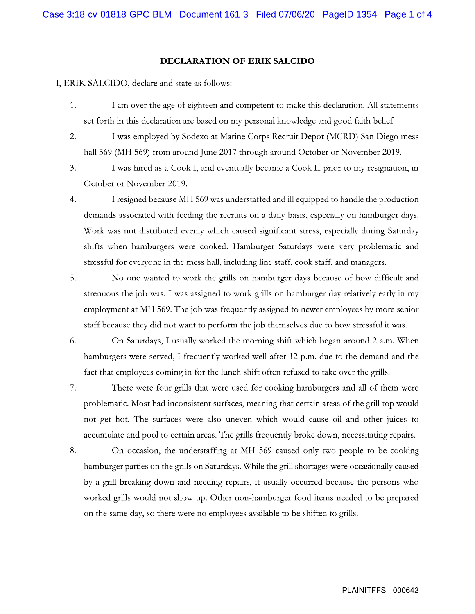## DECLARATION OF ERIK SALCIDO

I, ERIK SALCIDO, declare and state as follows:

- 1. I am over the age of eighteen and competent to make this declaration. All statements set forth in this declaration are based on my personal knowledge and good faith belief.
- 2. I was employed by Sodexo at Marine Corps Recruit Depot (MCRD) San Diego mess hall 569 (MH 569) from around June 2017 through around October or November 2019.
- I was hired as a Cook I, and eventually became a Cook II prior to my resignation, in 3. October or November 2019.
- 4. I resigned because MH 569 was understaffed and ill equipped to handle the production demands associated with feeding the recruits on a daily basis, especially on hamburger days. Work was not distributed evenly which caused significant stress, especially during Saturday shifts when hamburgers were cooked. Hamburger Saturdays were very problematic and stressful for everyone in the mess hall, including line staff, cook staff, and managers.
- 5. No one wanted to work the grills on hamburger days because of how difficult and strenuous the job was. I was assigned to work grills on hamburger day relatively early in my employment at MH 569. The job was frequently assigned to newer employees by more senior staff because they did not want to perform the job themselves due to how stressful it was.
- 6. On Saturdays, I usually worked the morning shift which began around 2 a.m. When hamburgers were served, I frequently worked well after 12 p.m. due to the demand and the fact that employees coming in for the lunch shift often refused to take over the grills.
- 7. There were four grills that were used for cooking hamburgers and all of them were problematic. Most had inconsistent surfaces, meaning that certain areas of the grill top would not get hot. The surfaces were also uneven which would cause oil and other juices to accumulate and pool to certain areas. The grills frequently broke down, necessitating repairs.
- 8. On occasion, the understaffing at MH 569 caused only two people to be cooking hamburger patties on the grills on Saturdays. While the grill shortages were occasionally caused by a grill breaking down and needing repairs, it usually occurred because the persons who worked grills would not show up. Other non-hamburger food items needed to be prepared on the same day, so there were no employees available to be shifted to grills.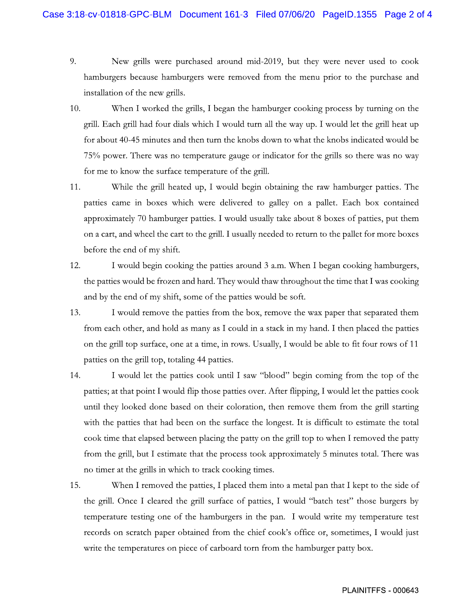- 9. New grills were purchased around mid-2019, but they were never used to cook hamburgers because hamburgers were removed from the menu prior to the purchase and installation of the new grills.
- 10. When I worked the grills, I began the hamburger cooking process by turning on the grill. Each grill had four dials which I would turn all the way up. I would let the grill heat up for about 40-45 minutes and then turn the knobs down to what the knobs indicated would be 75% power. There was no temperature gauge or indicator for the grills so there was no way for me to know the surface temperature of the grill.
- 11. While the grill heated up, I would begin obtaining the raw hamburger patties. The patties came in boxes which were delivered to galley on a pallet. Each box contained approximately 70 hamburger patties. I would usually take about 8 boxes of patties, put them on a cart, and wheel the cart to the grill. I usually needed to return to the pallet for more boxes before the end of my shift.
- 12. I would begin cooking the patties around 3 a.m. When I began cooking hamburgers, the patties would be frozen and hard. They would thaw throughout the time that I was cooking and by the end of my shift, some of the patties would be soft.
- 13. I would remove the patties from the box, remove the wax paper that separated them from each other, and hold as many as I could in a stack in my hand. I then placed the patties on the grill top surface, one at a time, in rows. Usually, I would be able to fit four rows of 11 patties on the grill top, totaling 44 patties.
- 14. I would let the patties cook until I saw "blood" begin coming from the top of the patties; at that point I would flip those patties over. After flipping, I would let the patties cook until they looked done based on their coloration, then remove them from the grill starting with the patties that had been on the surface the longest. It is difficult to estimate the total cook time that elapsed between placing the patty on the grill top to when I removed the patty from the grill, but I estimate that the process took approximately 5 minutes total. There was no timer at the grills in which to track cooking times.
- 15. When I removed the patties, I placed them into a metal pan that I kept to the side of the grill. Once I cleared the grill surface of patties, I would "batch test" those burgers by temperature testing one of the hamburgers in the pan. I would write my temperature test records on scratch paper obtained from the chief cook's office or, sometimes, I would just write the temperatures on piece of carboard torn from the hamburger patty box.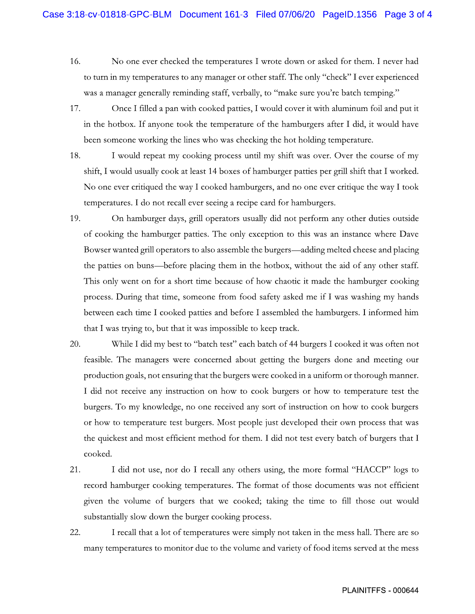- 16. No one ever checked the temperatures I wrote down or asked for them. I never had to turn in my temperatures to any manager or other staff. The only "check" I ever experienced was a manager generally reminding staff, verbally, to "make sure you're batch temping."
- 17. Once I filled a pan with cooked patties, I would cover it with aluminum foil and put it in the hotbox. If anyone took the temperature of the hamburgers after I did, it would have been someone working the lines who was checking the hot holding temperature.
- 18. I would repeat my cooking process until my shift was over. Over the course of my shift, I would usually cook at least 14 boxes of hamburger patties per grill shift that I worked. No one ever critiqued the way I cooked hamburgers, and no one ever critique the way I took temperatures. I do not recall ever seeing a recipe card for hamburgers.
- 19. On hamburger days, grill operators usually did not perform any other duties outside of cooking the hamburger patties. The only exception to this was an instance where Dave Bowser wanted grill operators to also assemble the burgers—adding melted cheese and placing the patties on buns—before placing them in the hotbox, without the aid of any other staff. This only went on for a short time because of how chaotic it made the hamburger cooking process. During that time, someone from food safety asked me if I was washing my hands between each time I cooked patties and before I assembled the hamburgers. I informed him that I was trying to, but that it was impossible to keep track.
- 20. While I did my best to "batch test" each batch of 44 burgers I cooked it was often not feasible. The managers were concerned about getting the burgers done and meeting our production goals, not ensuring that the burgers were cooked in a uniform or thorough manner. I did not receive any instruction on how to cook burgers or how to temperature test the burgers. To my knowledge, no one received any sort of instruction on how to cook burgers or how to temperature test burgers. Most people just developed their own process that was the quickest and most efficient method for them. I did not test every batch of burgers that I cooked.
- 21. I did not use, nor do I recall any others using, the more formal "HACCP" logs to record hamburger cooking temperatures. The format of those documents was not efficient given the volume of burgers that we cooked; taking the time to fill those out would substantially slow down the burger cooking process.
- 22. I recall that a lot of temperatures were simply not taken in the mess hall. There are so many temperatures to monitor due to the volume and variety of food items served at the mess